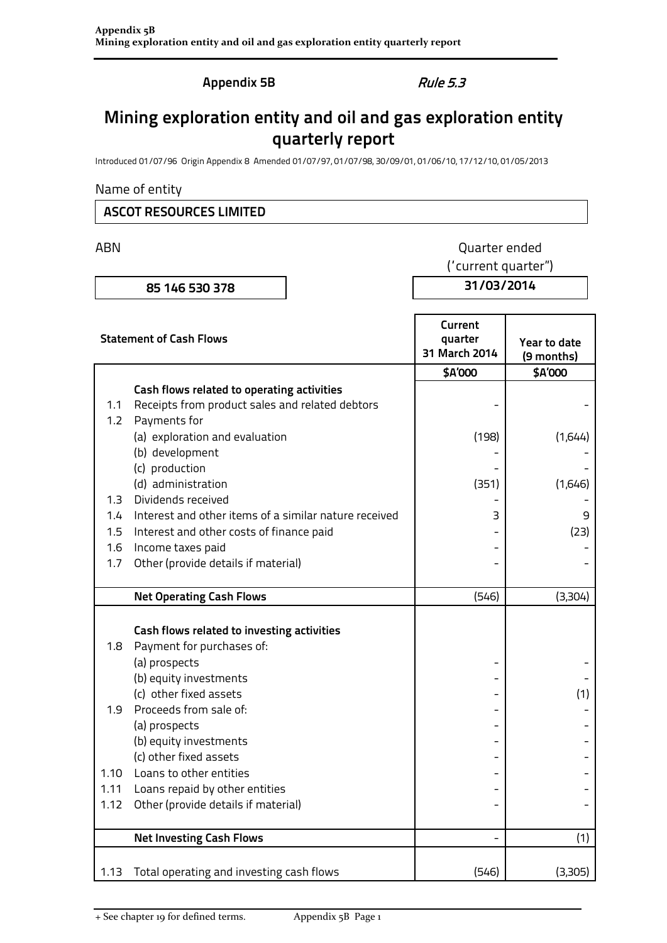**Appendix 5B** Rule 5.3

## **Mining exploration entity and oil and gas exploration entity quarterly report**

Introduced 01/07/96 Origin Appendix 8 Amended 01/07/97, 01/07/98, 30/09/01, 01/06/10, 17/12/10, 01/05/2013

#### Name of entity

### **ASCOT RESOURCES LIMITED**

# ABN **ABN** Quarter ended

**85 146 530 378 31/03/2014**

("current quarter")

| <b>Statement of Cash Flows</b> |                                                       | Current<br>quarter<br>31 March 2014 | Year to date<br>(9 months)<br>\$A'000<br>(1,644)<br>(1,646) |  |
|--------------------------------|-------------------------------------------------------|-------------------------------------|-------------------------------------------------------------|--|
|                                |                                                       | \$A'000                             |                                                             |  |
|                                | Cash flows related to operating activities            |                                     |                                                             |  |
| 1.1                            | Receipts from product sales and related debtors       |                                     |                                                             |  |
| 1.2                            | Payments for                                          |                                     |                                                             |  |
|                                | (a) exploration and evaluation                        | (198)                               |                                                             |  |
|                                | (b) development                                       |                                     |                                                             |  |
|                                | (c) production                                        |                                     |                                                             |  |
|                                | (d) administration                                    | (351)                               |                                                             |  |
| 1.3                            | Dividends received                                    |                                     |                                                             |  |
| 1.4                            | Interest and other items of a similar nature received | 3                                   | 9                                                           |  |
| 1.5                            | Interest and other costs of finance paid              |                                     | (23)                                                        |  |
| 1.6                            | Income taxes paid                                     |                                     |                                                             |  |
| 1.7                            | Other (provide details if material)                   |                                     |                                                             |  |
|                                | <b>Net Operating Cash Flows</b>                       | (546)                               | (3,304)                                                     |  |
|                                | Cash flows related to investing activities            |                                     |                                                             |  |
| 1.8                            | Payment for purchases of:                             |                                     |                                                             |  |
|                                | (a) prospects                                         |                                     |                                                             |  |
|                                | (b) equity investments                                |                                     |                                                             |  |
|                                | (c) other fixed assets                                |                                     | (1)                                                         |  |
| 1.9                            | Proceeds from sale of:                                |                                     |                                                             |  |
|                                | (a) prospects                                         |                                     |                                                             |  |
|                                | (b) equity investments                                |                                     |                                                             |  |
|                                | (c) other fixed assets                                |                                     |                                                             |  |
| 1.10                           | Loans to other entities                               |                                     |                                                             |  |
| 1.11                           | Loans repaid by other entities                        |                                     |                                                             |  |
| 1.12                           | Other (provide details if material)                   |                                     |                                                             |  |
|                                | <b>Net Investing Cash Flows</b>                       |                                     | (1)                                                         |  |
| 1.13                           | Total operating and investing cash flows              | (546)                               | (3,305)                                                     |  |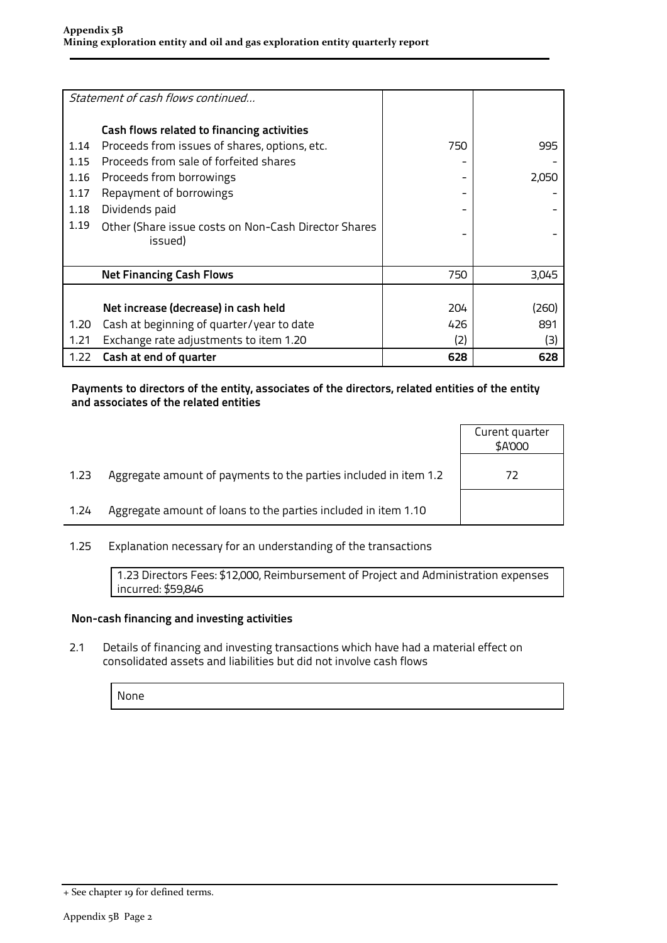|      | Statement of cash flows continued                               |     |       |
|------|-----------------------------------------------------------------|-----|-------|
|      | Cash flows related to financing activities                      |     |       |
| 1.14 | Proceeds from issues of shares, options, etc.                   | 750 | 995   |
| 1.15 | Proceeds from sale of forfeited shares                          |     |       |
| 1.16 | Proceeds from borrowings                                        |     | 2,050 |
| 1.17 | Repayment of borrowings                                         |     |       |
| 1.18 | Dividends paid                                                  |     |       |
| 1.19 | Other (Share issue costs on Non-Cash Director Shares<br>issued) |     |       |
|      |                                                                 |     |       |
|      | <b>Net Financing Cash Flows</b>                                 | 750 | 3,045 |
|      |                                                                 |     |       |
|      | Net increase (decrease) in cash held                            | 204 | (260) |
| 1.20 | Cash at beginning of quarter/year to date                       | 426 | 891   |
| 1.21 | Exchange rate adjustments to item 1.20                          | (2) | (3)   |
| 1.22 | Cash at end of quarter                                          | 628 | 628   |

#### **Payments to directors of the entity, associates of the directors, related entities of the entity and associates of the related entities**

|      |                                                                  | Curent quarter<br>\$A'000 |
|------|------------------------------------------------------------------|---------------------------|
| 1.23 | Aggregate amount of payments to the parties included in item 1.2 | 72                        |
| 1.24 | Aggregate amount of loans to the parties included in item 1.10   |                           |
|      |                                                                  |                           |

1.25 Explanation necessary for an understanding of the transactions

1.23 Directors Fees: \$12,000, Reimbursement of Project and Administration expenses incurred: \$59,846

#### **Non-cash financing and investing activities**

2.1 Details of financing and investing transactions which have had a material effect on consolidated assets and liabilities but did not involve cash flows

None

<sup>+</sup> See chapter 19 for defined terms.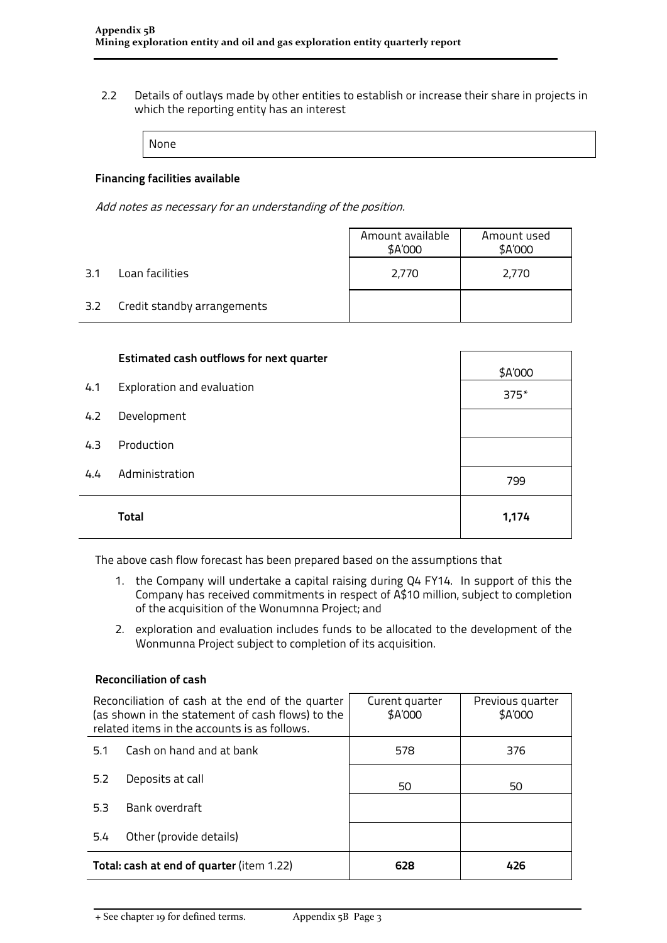2.2 Details of outlays made by other entities to establish or increase their share in projects in which the reporting entity has an interest

None

#### **Financing facilities available**

Add notes as necessary for an understanding of the position.

|     |                             | Amount available<br>\$A'000 | Amount used<br>\$A'000 |  |
|-----|-----------------------------|-----------------------------|------------------------|--|
| 3.1 | Loan facilities             | 2.770                       | 2,770                  |  |
| 3.2 | Credit standby arrangements |                             |                        |  |

|     | <b>Estimated cash outflows for next quarter</b> | \$A'000 |
|-----|-------------------------------------------------|---------|
| 4.1 | Exploration and evaluation                      | $375*$  |
| 4.2 | Development                                     |         |
| 4.3 | Production                                      |         |
| 4.4 | Administration                                  | 799     |
|     | <b>Total</b>                                    | 1,174   |

The above cash flow forecast has been prepared based on the assumptions that

- 1. the Company will undertake a capital raising during Q4 FY14. In support of this the Company has received commitments in respect of A\$10 million, subject to completion of the acquisition of the Wonumnna Project; and
- 2. exploration and evaluation includes funds to be allocated to the development of the Wonmunna Project subject to completion of its acquisition.

### **Reconciliation of cash**

| Reconciliation of cash at the end of the quarter<br>(as shown in the statement of cash flows) to the<br>related items in the accounts is as follows. |                          | Curent quarter<br>\$A'000 | Previous quarter<br>\$A'000 |  |
|------------------------------------------------------------------------------------------------------------------------------------------------------|--------------------------|---------------------------|-----------------------------|--|
| 5.1                                                                                                                                                  | Cash on hand and at bank | 578                       | 376                         |  |
| 5.2                                                                                                                                                  | Deposits at call         | 50                        | 50                          |  |
| 5.3                                                                                                                                                  | Bank overdraft           |                           |                             |  |
| Other (provide details)<br>5.4                                                                                                                       |                          |                           |                             |  |
| Total: cash at end of quarter (item 1.22)                                                                                                            |                          | 628                       | 426                         |  |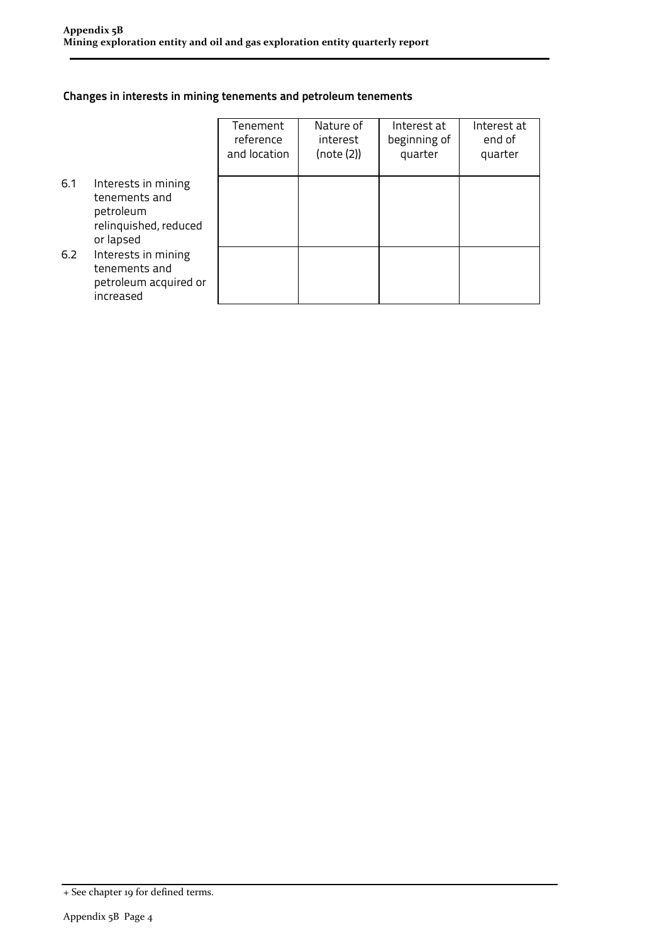### **Changes in interests in mining tenements and petroleum tenements**

|     |                                                                                         | Tenement<br>reference<br>and location | Nature of<br>interest<br>(note (2)) | Interest at<br>beginning of<br>quarter | Interest at<br>end of<br>quarter |
|-----|-----------------------------------------------------------------------------------------|---------------------------------------|-------------------------------------|----------------------------------------|----------------------------------|
| 6.1 | Interests in mining<br>tenements and<br>petroleum<br>relinquished, reduced<br>or lapsed |                                       |                                     |                                        |                                  |
| 6.2 | Interests in mining<br>tenements and<br>petroleum acquired or<br>increased              |                                       |                                     |                                        |                                  |

<sup>+</sup> See chapter 19 for defined terms.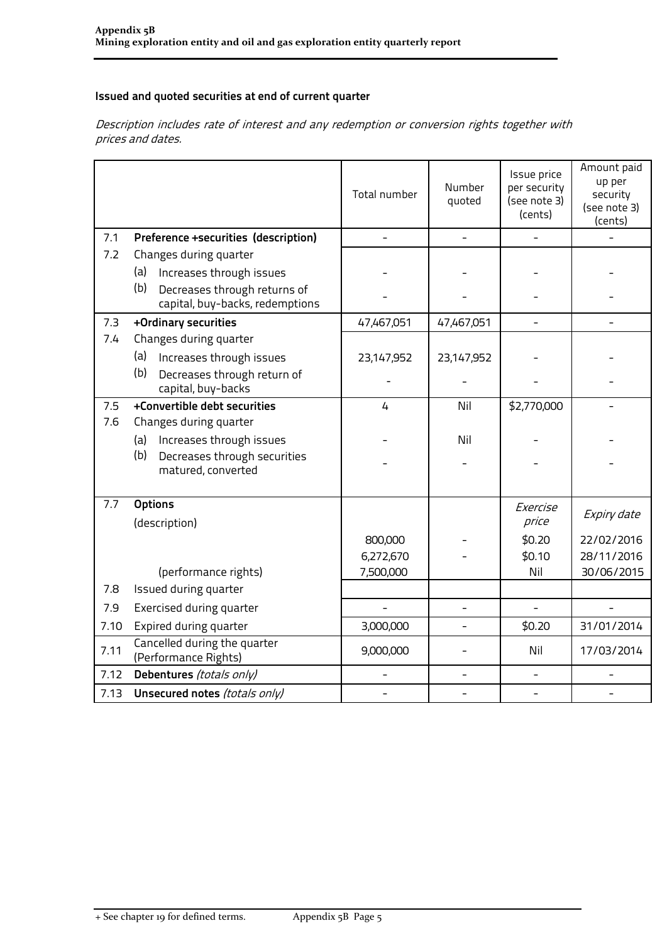#### **Issued and quoted securities at end of current quarter**

Description includes rate of interest and any redemption or conversion rights together with prices and dates.

|      |                                                                        | Total number   | Number<br>quoted | Issue price<br>per security<br>(see note 3)<br>(cents) | Amount paid<br>up per<br>security<br>(see note 3)<br>(cents) |
|------|------------------------------------------------------------------------|----------------|------------------|--------------------------------------------------------|--------------------------------------------------------------|
| 7.1  | Preference +securities (description)                                   | $\overline{a}$ |                  |                                                        |                                                              |
| 7.2  | Changes during quarter                                                 |                |                  |                                                        |                                                              |
|      | Increases through issues<br>(a)                                        |                |                  |                                                        |                                                              |
|      | (b)<br>Decreases through returns of<br>capital, buy-backs, redemptions |                |                  |                                                        |                                                              |
| 7.3  | +Ordinary securities                                                   | 47,467,051     | 47,467,051       | $\overline{\phantom{0}}$                               |                                                              |
| 7.4  | Changes during quarter                                                 |                |                  |                                                        |                                                              |
|      | (a)<br>Increases through issues                                        | 23,147,952     | 23,147,952       |                                                        |                                                              |
|      | (b)<br>Decreases through return of<br>capital, buy-backs               |                |                  |                                                        |                                                              |
| 7.5  | +Convertible debt securities                                           | $\overline{4}$ | Nil              | \$2,770,000                                            |                                                              |
| 7.6  | Changes during quarter                                                 |                |                  |                                                        |                                                              |
|      | Increases through issues<br>(a)                                        |                | Nil              |                                                        |                                                              |
|      | (b)<br>Decreases through securities<br>matured, converted              |                |                  |                                                        |                                                              |
| 7.7  | <b>Options</b>                                                         |                |                  | Exercise                                               |                                                              |
|      | (description)                                                          |                |                  | price                                                  | Expiry date                                                  |
|      |                                                                        | 800,000        |                  | \$0.20                                                 | 22/02/2016                                                   |
|      |                                                                        | 6,272,670      |                  | \$0.10                                                 | 28/11/2016                                                   |
|      | (performance rights)                                                   | 7,500,000      |                  | Nil                                                    | 30/06/2015                                                   |
| 7.8  | Issued during quarter                                                  |                |                  |                                                        |                                                              |
| 7.9  | Exercised during quarter                                               |                |                  | $\overline{a}$                                         |                                                              |
| 7.10 | Expired during quarter                                                 | 3,000,000      |                  | \$0.20                                                 | 31/01/2014                                                   |
| 7.11 | Cancelled during the quarter<br>(Performance Rights)                   | 9,000,000      |                  | Nil                                                    | 17/03/2014                                                   |
| 7.12 | Debentures (totals only)                                               |                |                  |                                                        |                                                              |
| 7.13 | Unsecured notes (totals only)                                          |                |                  | $\overline{\phantom{0}}$                               |                                                              |